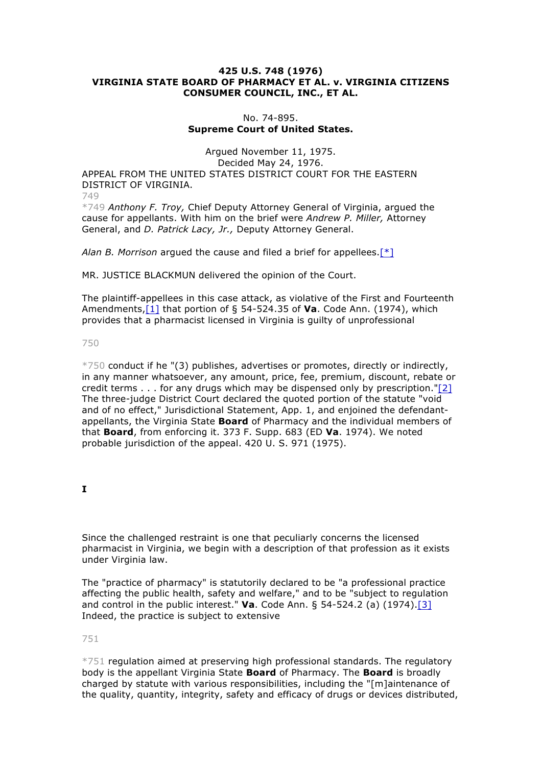# **425 U.S. 748 (1976) VIRGINIA STATE BOARD OF PHARMACY ET AL. v. VIRGINIA CITIZENS CONSUMER COUNCIL, INC., ET AL.**

# No. 74-895. **Supreme Court of United States.**

Argued November 11, 1975. Decided May 24, 1976. APPEAL FROM THE UNITED STATES DISTRICT COURT FOR THE EASTERN DISTRICT OF VIRGINIA.

749

\*749 *Anthony F. Troy,* Chief Deputy Attorney General of Virginia, argued the cause for appellants. With him on the brief were *Andrew P. Miller,* Attorney General, and *D. Patrick Lacy, Jr.,* Deputy Attorney General.

*Alan B. Morrison* argued the cause and filed a brief for appellees.[\*]

MR. JUSTICE BLACKMUN delivered the opinion of the Court.

The plaintiff-appellees in this case attack, as violative of the First and Fourteenth Amendments,[1] that portion of § 54-524.35 of **Va**. Code Ann. (1974), which provides that a pharmacist licensed in Virginia is guilty of unprofessional

750

 $*750$  conduct if he "(3) publishes, advertises or promotes, directly or indirectly, in any manner whatsoever, any amount, price, fee, premium, discount, rebate or credit terms  $\ldots$  for any drugs which may be dispensed only by prescription."[2] The three-judge District Court declared the quoted portion of the statute "void and of no effect," Jurisdictional Statement, App. 1, and enjoined the defendantappellants, the Virginia State **Board** of Pharmacy and the individual members of that **Board**, from enforcing it. 373 F. Supp. 683 (ED **Va**. 1974). We noted probable jurisdiction of the appeal. 420 U. S. 971 (1975).

**I**

Since the challenged restraint is one that peculiarly concerns the licensed pharmacist in Virginia, we begin with a description of that profession as it exists under Virginia law.

The "practice of pharmacy" is statutorily declared to be "a professional practice affecting the public health, safety and welfare," and to be "subject to regulation and control in the public interest." **Va**. Code Ann. § 54-524.2 (a) (1974).[3] Indeed, the practice is subject to extensive

751

\*751 regulation aimed at preserving high professional standards. The regulatory body is the appellant Virginia State **Board** of Pharmacy. The **Board** is broadly charged by statute with various responsibilities, including the "[m]aintenance of the quality, quantity, integrity, safety and efficacy of drugs or devices distributed,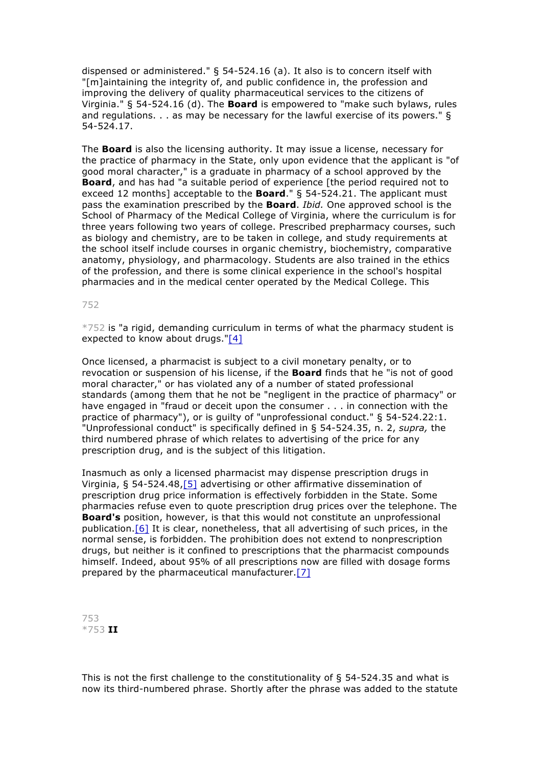dispensed or administered." § 54-524.16 (a). It also is to concern itself with "[m]aintaining the integrity of, and public confidence in, the profession and improving the delivery of quality pharmaceutical services to the citizens of Virginia." § 54-524.16 (d). The **Board** is empowered to "make such bylaws, rules and regulations. . . as may be necessary for the lawful exercise of its powers." § 54-524.17.

The **Board** is also the licensing authority. It may issue a license, necessary for the practice of pharmacy in the State, only upon evidence that the applicant is "of good moral character," is a graduate in pharmacy of a school approved by the **Board**, and has had "a suitable period of experience [the period required not to exceed 12 months] acceptable to the **Board**." § 54-524.21. The applicant must pass the examination prescribed by the **Board**. *Ibid.* One approved school is the School of Pharmacy of the Medical College of Virginia, where the curriculum is for three years following two years of college. Prescribed prepharmacy courses, such as biology and chemistry, are to be taken in college, and study requirements at the school itself include courses in organic chemistry, biochemistry, comparative anatomy, physiology, and pharmacology. Students are also trained in the ethics of the profession, and there is some clinical experience in the school's hospital pharmacies and in the medical center operated by the Medical College. This

#### 752

 $*752$  is "a rigid, demanding curriculum in terms of what the pharmacy student is expected to know about drugs."[4]

Once licensed, a pharmacist is subject to a civil monetary penalty, or to revocation or suspension of his license, if the **Board** finds that he "is not of good moral character," or has violated any of a number of stated professional standards (among them that he not be "negligent in the practice of pharmacy" or have engaged in "fraud or deceit upon the consumer . . . in connection with the practice of pharmacy"), or is guilty of "unprofessional conduct." § 54-524.22:1. "Unprofessional conduct" is specifically defined in § 54-524.35, n. 2, *supra,* the third numbered phrase of which relates to advertising of the price for any prescription drug, and is the subject of this litigation.

Inasmuch as only a licensed pharmacist may dispense prescription drugs in Virginia, § 54-524.48,[5] advertising or other affirmative dissemination of prescription drug price information is effectively forbidden in the State. Some pharmacies refuse even to quote prescription drug prices over the telephone. The **Board's** position, however, is that this would not constitute an unprofessional publication.[6] It is clear, nonetheless, that all advertising of such prices, in the normal sense, is forbidden. The prohibition does not extend to nonprescription drugs, but neither is it confined to prescriptions that the pharmacist compounds himself. Indeed, about 95% of all prescriptions now are filled with dosage forms prepared by the pharmaceutical manufacturer.[7]

753 \*753 **II**

This is not the first challenge to the constitutionality of § 54-524.35 and what is now its third-numbered phrase. Shortly after the phrase was added to the statute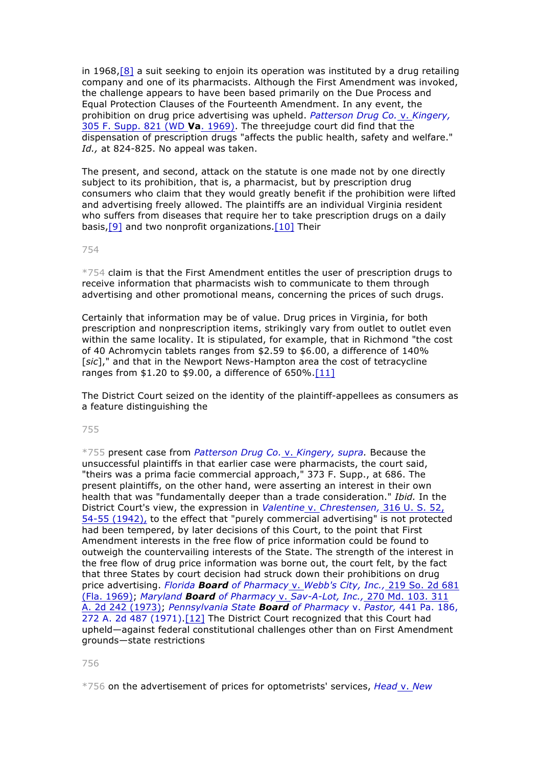in 1968,[8] a suit seeking to enjoin its operation was instituted by a drug retailing company and one of its pharmacists. Although the First Amendment was invoked, the challenge appears to have been based primarily on the Due Process and Equal Protection Clauses of the Fourteenth Amendment. In any event, the prohibition on drug price advertising was upheld. *Patterson Drug Co.* v. *Kingery,* 305 F. Supp. 821 (WD **Va**. 1969). The threejudge court did find that the dispensation of prescription drugs "affects the public health, safety and welfare." *Id.,* at 824-825. No appeal was taken.

The present, and second, attack on the statute is one made not by one directly subject to its prohibition, that is, a pharmacist, but by prescription drug consumers who claim that they would greatly benefit if the prohibition were lifted and advertising freely allowed. The plaintiffs are an individual Virginia resident who suffers from diseases that require her to take prescription drugs on a daily basis,[9] and two nonprofit organizations.[10] Their

#### 754

 $*754$  claim is that the First Amendment entitles the user of prescription drugs to receive information that pharmacists wish to communicate to them through advertising and other promotional means, concerning the prices of such drugs.

Certainly that information may be of value. Drug prices in Virginia, for both prescription and nonprescription items, strikingly vary from outlet to outlet even within the same locality. It is stipulated, for example, that in Richmond "the cost of 40 Achromycin tablets ranges from \$2.59 to \$6.00, a difference of 140% [*sic*]," and that in the Newport News-Hampton area the cost of tetracycline ranges from \$1.20 to \$9.00, a difference of 650%.[11]

The District Court seized on the identity of the plaintiff-appellees as consumers as a feature distinguishing the

755

\*755 present case from *Patterson Drug Co.* v. *Kingery, supra.* Because the unsuccessful plaintiffs in that earlier case were pharmacists, the court said, "theirs was a prima facie commercial approach," 373 F. Supp., at 686. The present plaintiffs, on the other hand, were asserting an interest in their own health that was "fundamentally deeper than a trade consideration." *Ibid.* In the District Court's view, the expression in *Valentine* v. *Chrestensen,* 316 U. S. 52, 54-55 (1942), to the effect that "purely commercial advertising" is not protected had been tempered, by later decisions of this Court, to the point that First Amendment interests in the free flow of price information could be found to outweigh the countervailing interests of the State. The strength of the interest in the free flow of drug price information was borne out, the court felt, by the fact that three States by court decision had struck down their prohibitions on drug price advertising. *Florida Board of Pharmacy* v. *Webb's City, Inc.,* 219 So. 2d 681 (Fla. 1969); *Maryland Board of Pharmacy* v. *Sav-A-Lot, Inc.,* 270 Md. 103. 311 A. 2d 242 (1973); *Pennsylvania State Board of Pharmacy* v. *Pastor,* 441 Pa. 186, 272 A. 2d 487 (1971).[12] The District Court recognized that this Court had upheld—against federal constitutional challenges other than on First Amendment grounds—state restrictions

756

\*756 on the advertisement of prices for optometrists' services, *Head* v. *New*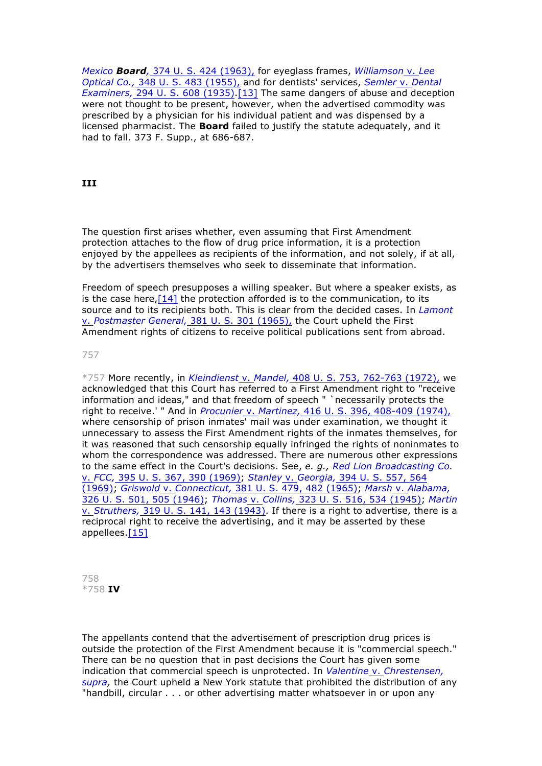*Mexico Board,* 374 U. S. 424 (1963), for eyeglass frames, *Williamson* v. *Lee Optical Co.,* 348 U. S. 483 (1955), and for dentists' services, *Semler* v. *Dental Examiners,* 294 U. S. 608 (1935).[13] The same dangers of abuse and deception were not thought to be present, however, when the advertised commodity was prescribed by a physician for his individual patient and was dispensed by a licensed pharmacist. The **Board** failed to justify the statute adequately, and it had to fall. 373 F. Supp., at 686-687.

# **III**

The question first arises whether, even assuming that First Amendment protection attaches to the flow of drug price information, it is a protection enjoyed by the appellees as recipients of the information, and not solely, if at all, by the advertisers themselves who seek to disseminate that information.

Freedom of speech presupposes a willing speaker. But where a speaker exists, as is the case here,[14] the protection afforded is to the communication, to its source and to its recipients both. This is clear from the decided cases. In *Lamont* v. *Postmaster General,* 381 U. S. 301 (1965), the Court upheld the First Amendment rights of citizens to receive political publications sent from abroad.

## 757

\*757 More recently, in *Kleindienst* v. *Mandel,* 408 U. S. 753, 762-763 (1972), we acknowledged that this Court has referred to a First Amendment right to "receive information and ideas," and that freedom of speech " `necessarily protects the right to receive.' " And in *Procunier* v. *Martinez,* 416 U. S. 396, 408-409 (1974), where censorship of prison inmates' mail was under examination, we thought it unnecessary to assess the First Amendment rights of the inmates themselves, for it was reasoned that such censorship equally infringed the rights of noninmates to whom the correspondence was addressed. There are numerous other expressions to the same effect in the Court's decisions. See, *e. g., Red Lion Broadcasting Co.* v. *FCC,* 395 U. S. 367, 390 (1969); *Stanley* v. *Georgia,* 394 U. S. 557, 564 (1969); *Griswold* v. *Connecticut,* 381 U. S. 479, 482 (1965); *Marsh* v. *Alabama,* 326 U. S. 501, 505 (1946); *Thomas* v. *Collins,* 323 U. S. 516, 534 (1945); *Martin* v. *Struthers,* 319 U. S. 141, 143 (1943). If there is a right to advertise, there is a reciprocal right to receive the advertising, and it may be asserted by these appellees.[15]

The appellants contend that the advertisement of prescription drug prices is outside the protection of the First Amendment because it is "commercial speech." There can be no question that in past decisions the Court has given some indication that commercial speech is unprotected. In *Valentine* v. *Chrestensen, supra,* the Court upheld a New York statute that prohibited the distribution of any "handbill, circular . . . or other advertising matter whatsoever in or upon any

<sup>758</sup> \*758 **IV**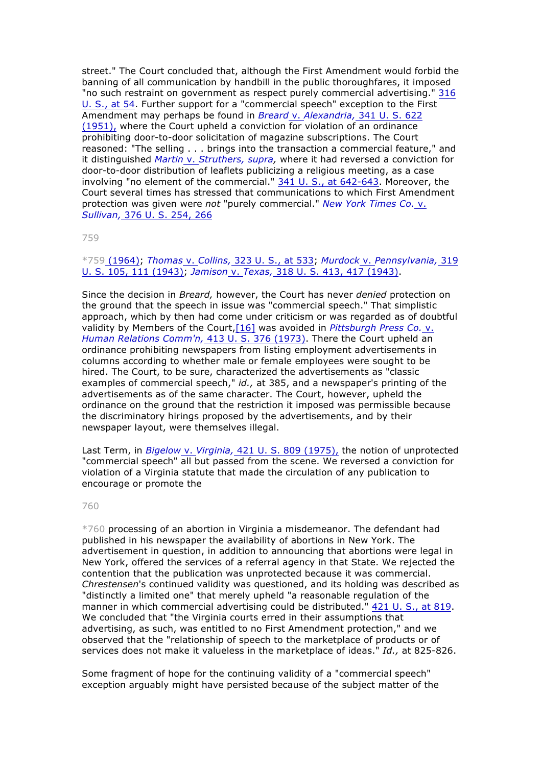street." The Court concluded that, although the First Amendment would forbid the banning of all communication by handbill in the public thoroughfares, it imposed "no such restraint on government as respect purely commercial advertising." 316 U. S., at 54. Further support for a "commercial speech" exception to the First Amendment may perhaps be found in *Breard* v. *Alexandria,* 341 U. S. 622 (1951), where the Court upheld a conviction for violation of an ordinance prohibiting door-to-door solicitation of magazine subscriptions. The Court reasoned: "The selling . . . brings into the transaction a commercial feature," and it distinguished *Martin* v. *Struthers, supra,* where it had reversed a conviction for door-to-door distribution of leaflets publicizing a religious meeting, as a case involving "no element of the commercial." 341 U. S., at 642-643. Moreover, the Court several times has stressed that communications to which First Amendment protection was given were *not* "purely commercial." *New York Times Co.* v. *Sullivan,* 376 U. S. 254, 266

#### 759

# \*759 (1964); *Thomas* v. *Collins,* 323 U. S., at 533; *Murdock* v. *Pennsylvania,* 319 U. S. 105, 111 (1943); *Jamison* v. *Texas,* 318 U. S. 413, 417 (1943).

Since the decision in *Breard,* however, the Court has never *denied* protection on the ground that the speech in issue was "commercial speech." That simplistic approach, which by then had come under criticism or was regarded as of doubtful validity by Members of the Court,[16] was avoided in *Pittsburgh Press Co.* v. *Human Relations Comm'n,* 413 U. S. 376 (1973). There the Court upheld an ordinance prohibiting newspapers from listing employment advertisements in columns according to whether male or female employees were sought to be hired. The Court, to be sure, characterized the advertisements as "classic examples of commercial speech," *id.,* at 385, and a newspaper's printing of the advertisements as of the same character. The Court, however, upheld the ordinance on the ground that the restriction it imposed was permissible because the discriminatory hirings proposed by the advertisements, and by their newspaper layout, were themselves illegal.

Last Term, in *Bigelow* v. *Virginia,* 421 U. S. 809 (1975), the notion of unprotected "commercial speech" all but passed from the scene. We reversed a conviction for violation of a Virginia statute that made the circulation of any publication to encourage or promote the

## 760

 $*760$  processing of an abortion in Virginia a misdemeanor. The defendant had published in his newspaper the availability of abortions in New York. The advertisement in question, in addition to announcing that abortions were legal in New York, offered the services of a referral agency in that State. We rejected the contention that the publication was unprotected because it was commercial. *Chrestensen*'s continued validity was questioned, and its holding was described as "distinctly a limited one" that merely upheld "a reasonable regulation of the manner in which commercial advertising could be distributed." 421 U. S., at 819. We concluded that "the Virginia courts erred in their assumptions that advertising, as such, was entitled to no First Amendment protection," and we observed that the "relationship of speech to the marketplace of products or of services does not make it valueless in the marketplace of ideas." *Id.,* at 825-826.

Some fragment of hope for the continuing validity of a "commercial speech" exception arguably might have persisted because of the subject matter of the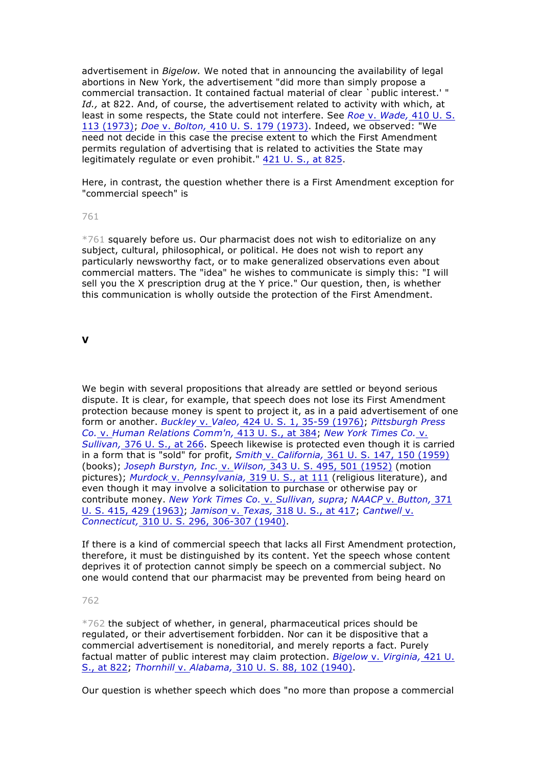advertisement in *Bigelow.* We noted that in announcing the availability of legal abortions in New York, the advertisement "did more than simply propose a commercial transaction. It contained factual material of clear `public interest.' " *Id.,* at 822. And, of course, the advertisement related to activity with which, at least in some respects, the State could not interfere. See *Roe* v. *Wade,* 410 U. S. 113 (1973); *Doe* v. *Bolton,* 410 U. S. 179 (1973). Indeed, we observed: "We need not decide in this case the precise extent to which the First Amendment permits regulation of advertising that is related to activities the State may legitimately regulate or even prohibit." 421 U. S., at 825.

Here, in contrast, the question whether there is a First Amendment exception for "commercial speech" is

761

 $*761$  squarely before us. Our pharmacist does not wish to editorialize on any subject, cultural, philosophical, or political. He does not wish to report any particularly newsworthy fact, or to make generalized observations even about commercial matters. The "idea" he wishes to communicate is simply this: "I will sell you the X prescription drug at the Y price." Our question, then, is whether this communication is wholly outside the protection of the First Amendment.

# **V**

We begin with several propositions that already are settled or beyond serious dispute. It is clear, for example, that speech does not lose its First Amendment protection because money is spent to project it, as in a paid advertisement of one form or another. *Buckley* v. *Valeo,* 424 U. S. 1, 35-59 (1976); *Pittsburgh Press Co.* v. *Human Relations Comm'n,* 413 U. S., at 384; *New York Times Co.* v. *Sullivan,* 376 U. S., at 266. Speech likewise is protected even though it is carried in a form that is "sold" for profit, *Smith* v. *California,* 361 U. S. 147, 150 (1959) (books); *Joseph Burstyn, Inc.* v. *Wilson,* 343 U. S. 495, 501 (1952) (motion pictures); *Murdock* v. *Pennsylvania,* 319 U. S., at 111 (religious literature), and even though it may involve a solicitation to purchase or otherwise pay or contribute money. *New York Times Co.* v. *Sullivan, supra; NAACP* v. *Button,* 371 U. S. 415, 429 (1963); *Jamison* v. *Texas,* 318 U. S., at 417; *Cantwell* v. *Connecticut,* 310 U. S. 296, 306-307 (1940).

If there is a kind of commercial speech that lacks all First Amendment protection, therefore, it must be distinguished by its content. Yet the speech whose content deprives it of protection cannot simply be speech on a commercial subject. No one would contend that our pharmacist may be prevented from being heard on

## 762

\*762 the subject of whether, in general, pharmaceutical prices should be regulated, or their advertisement forbidden. Nor can it be dispositive that a commercial advertisement is noneditorial, and merely reports a fact. Purely factual matter of public interest may claim protection. *Bigelow* v. *Virginia,* 421 U. S., at 822; *Thornhill* v. *Alabama,* 310 U. S. 88, 102 (1940).

Our question is whether speech which does "no more than propose a commercial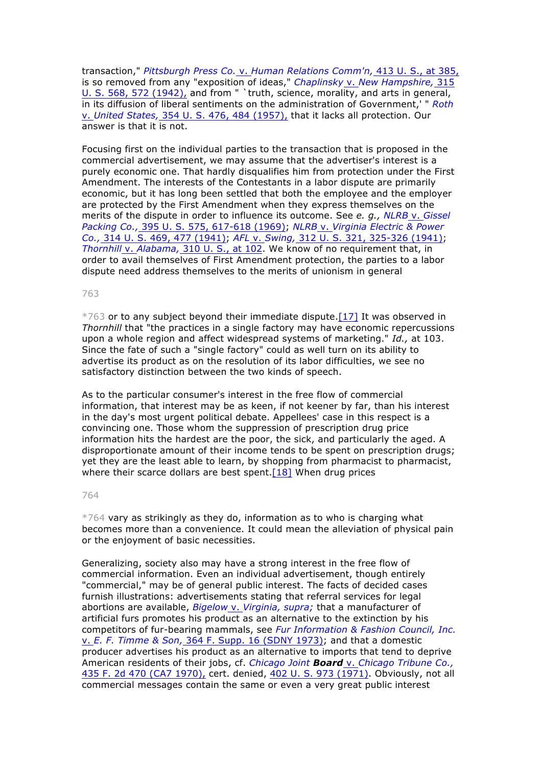transaction," *Pittsburgh Press Co.* v. *Human Relations Comm'n,* 413 U. S., at 385, is so removed from any "exposition of ideas," *Chaplinsky* v. *New Hampshire,* 315 U. S. 568, 572 (1942), and from " `truth, science, morality, and arts in general, in its diffusion of liberal sentiments on the administration of Government,' " *Roth* v. *United States,* 354 U. S. 476, 484 (1957), that it lacks all protection. Our answer is that it is not.

Focusing first on the individual parties to the transaction that is proposed in the commercial advertisement, we may assume that the advertiser's interest is a purely economic one. That hardly disqualifies him from protection under the First Amendment. The interests of the Contestants in a labor dispute are primarily economic, but it has long been settled that both the employee and the employer are protected by the First Amendment when they express themselves on the merits of the dispute in order to influence its outcome. See *e. g., NLRB* v. *Gissel Packing Co.,* 395 U. S. 575, 617-618 (1969); *NLRB* v. *Virginia Electric & Power Co.,* 314 U. S. 469, 477 (1941); *AFL* v. *Swing,* 312 U. S. 321, 325-326 (1941); *Thornhill* v. *Alabama,* 310 U. S., at 102. We know of no requirement that, in order to avail themselves of First Amendment protection, the parties to a labor dispute need address themselves to the merits of unionism in general

#### 763

 $*763$  or to any subject beyond their immediate dispute. [17] It was observed in *Thornhill* that "the practices in a single factory may have economic repercussions upon a whole region and affect widespread systems of marketing." *Id.,* at 103. Since the fate of such a "single factory" could as well turn on its ability to advertise its product as on the resolution of its labor difficulties, we see no satisfactory distinction between the two kinds of speech.

As to the particular consumer's interest in the free flow of commercial information, that interest may be as keen, if not keener by far, than his interest in the day's most urgent political debate. Appellees' case in this respect is a convincing one. Those whom the suppression of prescription drug price information hits the hardest are the poor, the sick, and particularly the aged. A disproportionate amount of their income tends to be spent on prescription drugs; yet they are the least able to learn, by shopping from pharmacist to pharmacist, where their scarce dollars are best spent. $[18]$  When drug prices

## 764

 $*764$  vary as strikingly as they do, information as to who is charging what becomes more than a convenience. It could mean the alleviation of physical pain or the enjoyment of basic necessities.

Generalizing, society also may have a strong interest in the free flow of commercial information. Even an individual advertisement, though entirely "commercial," may be of general public interest. The facts of decided cases furnish illustrations: advertisements stating that referral services for legal abortions are available, *Bigelow* v. *Virginia, supra;* that a manufacturer of artificial furs promotes his product as an alternative to the extinction by his competitors of fur-bearing mammals, see *Fur Information & Fashion Council, Inc.* v. *E. F. Timme & Son,* 364 F. Supp. 16 (SDNY 1973); and that a domestic producer advertises his product as an alternative to imports that tend to deprive American residents of their jobs, cf. *Chicago Joint Board* v. *Chicago Tribune Co.,* 435 F. 2d 470 (CA7 1970), cert. denied, 402 U. S. 973 (1971). Obviously, not all commercial messages contain the same or even a very great public interest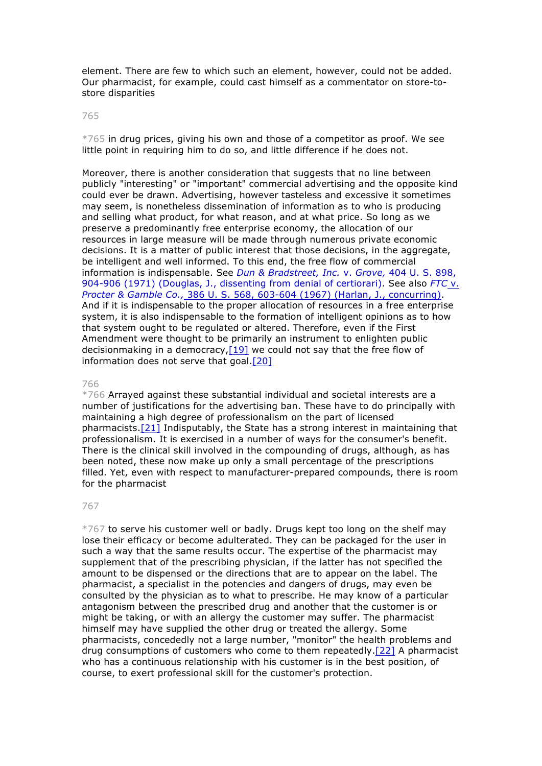element. There are few to which such an element, however, could not be added. Our pharmacist, for example, could cast himself as a commentator on store-tostore disparities

## 765

 $*765$  in drug prices, giving his own and those of a competitor as proof. We see little point in requiring him to do so, and little difference if he does not.

Moreover, there is another consideration that suggests that no line between publicly "interesting" or "important" commercial advertising and the opposite kind could ever be drawn. Advertising, however tasteless and excessive it sometimes may seem, is nonetheless dissemination of information as to who is producing and selling what product, for what reason, and at what price. So long as we preserve a predominantly free enterprise economy, the allocation of our resources in large measure will be made through numerous private economic decisions. It is a matter of public interest that those decisions, in the aggregate, be intelligent and well informed. To this end, the free flow of commercial information is indispensable. See *Dun & Bradstreet, Inc.* v. *Grove,* 404 U. S. 898, 904-906 (1971) (Douglas, J., dissenting from denial of certiorari). See also *FTC* v. *Procter & Gamble Co.,* 386 U. S. 568, 603-604 (1967) (Harlan, J., concurring). And if it is indispensable to the proper allocation of resources in a free enterprise system, it is also indispensable to the formation of intelligent opinions as to how that system ought to be regulated or altered. Therefore, even if the First Amendment were thought to be primarily an instrument to enlighten public decisionmaking in a democracy,[19] we could not say that the free flow of information does not serve that goal.[20]

# 766

\*766 Arrayed against these substantial individual and societal interests are a number of justifications for the advertising ban. These have to do principally with maintaining a high degree of professionalism on the part of licensed pharmacists.[21] Indisputably, the State has a strong interest in maintaining that professionalism. It is exercised in a number of ways for the consumer's benefit. There is the clinical skill involved in the compounding of drugs, although, as has been noted, these now make up only a small percentage of the prescriptions filled. Yet, even with respect to manufacturer-prepared compounds, there is room for the pharmacist

#### 767

\*767 to serve his customer well or badly. Drugs kept too long on the shelf may lose their efficacy or become adulterated. They can be packaged for the user in such a way that the same results occur. The expertise of the pharmacist may supplement that of the prescribing physician, if the latter has not specified the amount to be dispensed or the directions that are to appear on the label. The pharmacist, a specialist in the potencies and dangers of drugs, may even be consulted by the physician as to what to prescribe. He may know of a particular antagonism between the prescribed drug and another that the customer is or might be taking, or with an allergy the customer may suffer. The pharmacist himself may have supplied the other drug or treated the allergy. Some pharmacists, concededly not a large number, "monitor" the health problems and drug consumptions of customers who come to them repeatedly.[22] A pharmacist who has a continuous relationship with his customer is in the best position, of course, to exert professional skill for the customer's protection.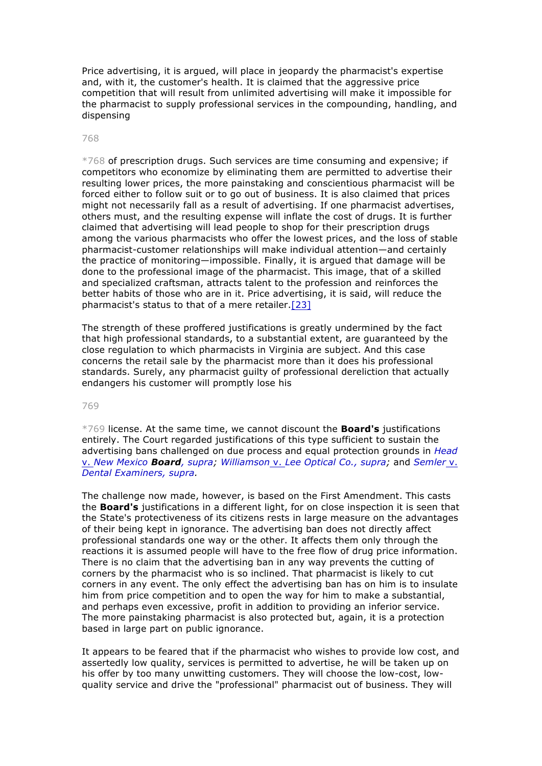Price advertising, it is argued, will place in jeopardy the pharmacist's expertise and, with it, the customer's health. It is claimed that the aggressive price competition that will result from unlimited advertising will make it impossible for the pharmacist to supply professional services in the compounding, handling, and dispensing

#### 768

\*768 of prescription drugs. Such services are time consuming and expensive; if competitors who economize by eliminating them are permitted to advertise their resulting lower prices, the more painstaking and conscientious pharmacist will be forced either to follow suit or to go out of business. It is also claimed that prices might not necessarily fall as a result of advertising. If one pharmacist advertises, others must, and the resulting expense will inflate the cost of drugs. It is further claimed that advertising will lead people to shop for their prescription drugs among the various pharmacists who offer the lowest prices, and the loss of stable pharmacist-customer relationships will make individual attention—and certainly the practice of monitoring—impossible. Finally, it is argued that damage will be done to the professional image of the pharmacist. This image, that of a skilled and specialized craftsman, attracts talent to the profession and reinforces the better habits of those who are in it. Price advertising, it is said, will reduce the pharmacist's status to that of a mere retailer.[23]

The strength of these proffered justifications is greatly undermined by the fact that high professional standards, to a substantial extent, are guaranteed by the close regulation to which pharmacists in Virginia are subject. And this case concerns the retail sale by the pharmacist more than it does his professional standards. Surely, any pharmacist guilty of professional dereliction that actually endangers his customer will promptly lose his

#### 769

\*769 license. At the same time, we cannot discount the **Board's** justifications entirely. The Court regarded justifications of this type sufficient to sustain the advertising bans challenged on due process and equal protection grounds in *Head* v. *New Mexico Board, supra; Williamson* v. *Lee Optical Co., supra;* and *Semler* v. *Dental Examiners, supra.*

The challenge now made, however, is based on the First Amendment. This casts the **Board's** justifications in a different light, for on close inspection it is seen that the State's protectiveness of its citizens rests in large measure on the advantages of their being kept in ignorance. The advertising ban does not directly affect professional standards one way or the other. It affects them only through the reactions it is assumed people will have to the free flow of drug price information. There is no claim that the advertising ban in any way prevents the cutting of corners by the pharmacist who is so inclined. That pharmacist is likely to cut corners in any event. The only effect the advertising ban has on him is to insulate him from price competition and to open the way for him to make a substantial, and perhaps even excessive, profit in addition to providing an inferior service. The more painstaking pharmacist is also protected but, again, it is a protection based in large part on public ignorance.

It appears to be feared that if the pharmacist who wishes to provide low cost, and assertedly low quality, services is permitted to advertise, he will be taken up on his offer by too many unwitting customers. They will choose the low-cost, lowquality service and drive the "professional" pharmacist out of business. They will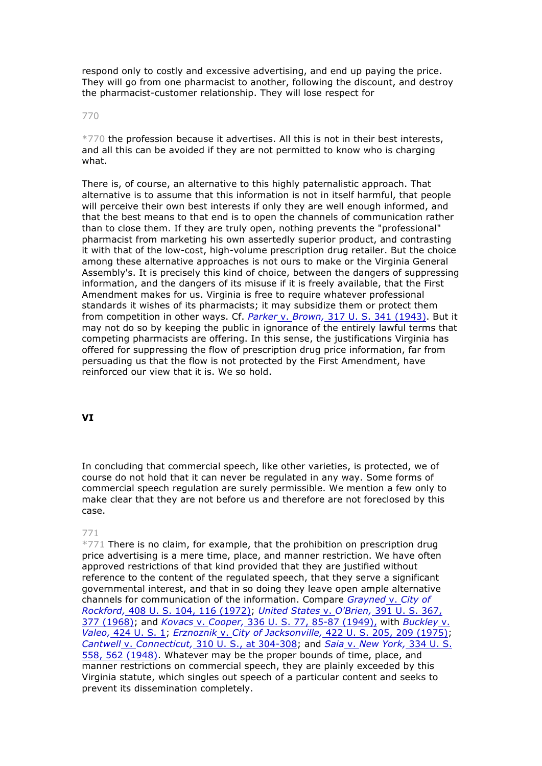respond only to costly and excessive advertising, and end up paying the price. They will go from one pharmacist to another, following the discount, and destroy the pharmacist-customer relationship. They will lose respect for

## 770

 $*770$  the profession because it advertises. All this is not in their best interests, and all this can be avoided if they are not permitted to know who is charging what.

There is, of course, an alternative to this highly paternalistic approach. That alternative is to assume that this information is not in itself harmful, that people will perceive their own best interests if only they are well enough informed, and that the best means to that end is to open the channels of communication rather than to close them. If they are truly open, nothing prevents the "professional" pharmacist from marketing his own assertedly superior product, and contrasting it with that of the low-cost, high-volume prescription drug retailer. But the choice among these alternative approaches is not ours to make or the Virginia General Assembly's. It is precisely this kind of choice, between the dangers of suppressing information, and the dangers of its misuse if it is freely available, that the First Amendment makes for us. Virginia is free to require whatever professional standards it wishes of its pharmacists; it may subsidize them or protect them from competition in other ways. Cf. *Parker* v. *Brown,* 317 U. S. 341 (1943). But it may not do so by keeping the public in ignorance of the entirely lawful terms that competing pharmacists are offering. In this sense, the justifications Virginia has offered for suppressing the flow of prescription drug price information, far from persuading us that the flow is not protected by the First Amendment, have reinforced our view that it is. We so hold.

# **VI**

In concluding that commercial speech, like other varieties, is protected, we of course do not hold that it can never be regulated in any way. Some forms of commercial speech regulation are surely permissible. We mention a few only to make clear that they are not before us and therefore are not foreclosed by this case.

## 771

 $*771$  There is no claim, for example, that the prohibition on prescription drug price advertising is a mere time, place, and manner restriction. We have often approved restrictions of that kind provided that they are justified without reference to the content of the regulated speech, that they serve a significant governmental interest, and that in so doing they leave open ample alternative channels for communication of the information. Compare *Grayned* v. *City of Rockford,* 408 U. S. 104, 116 (1972); *United States* v. *O'Brien,* 391 U. S. 367, 377 (1968); and *Kovacs* v. *Cooper,* 336 U. S. 77, 85-87 (1949), with *Buckley* v. *Valeo,* 424 U. S. 1; *Erznoznik* v. *City of Jacksonville,* 422 U. S. 205, 209 (1975); *Cantwell* v. *Connecticut,* 310 U. S., at 304-308; and *Saia* v. *New York,* 334 U. S. 558, 562 (1948). Whatever may be the proper bounds of time, place, and manner restrictions on commercial speech, they are plainly exceeded by this Virginia statute, which singles out speech of a particular content and seeks to prevent its dissemination completely.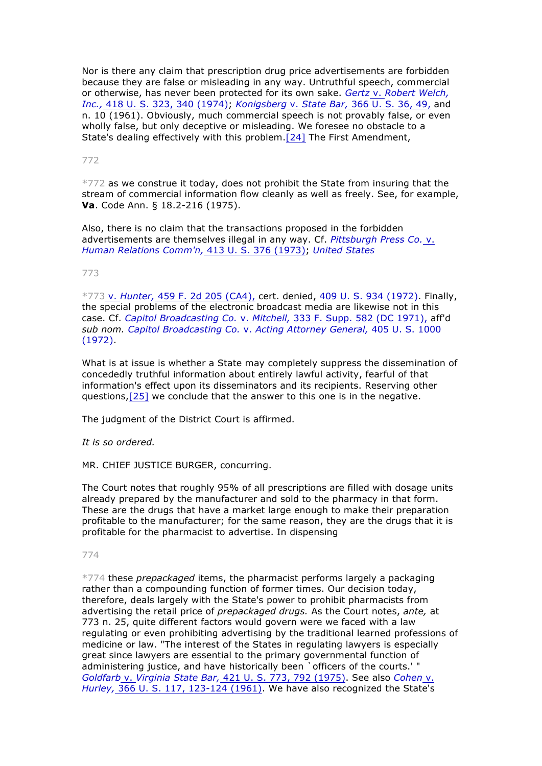Nor is there any claim that prescription drug price advertisements are forbidden because they are false or misleading in any way. Untruthful speech, commercial or otherwise, has never been protected for its own sake. *Gertz* v. *Robert Welch, Inc.,* 418 U. S. 323, 340 (1974); *Konigsberg* v. *State Bar,* 366 U. S. 36, 49, and n. 10 (1961). Obviously, much commercial speech is not provably false, or even wholly false, but only deceptive or misleading. We foresee no obstacle to a State's dealing effectively with this problem.[24] The First Amendment,

# 772

 $*772$  as we construe it today, does not prohibit the State from insuring that the stream of commercial information flow cleanly as well as freely. See, for example, **Va**. Code Ann. § 18.2-216 (1975).

Also, there is no claim that the transactions proposed in the forbidden advertisements are themselves illegal in any way. Cf. *Pittsburgh Press Co.* v. *Human Relations Comm'n,* 413 U. S. 376 (1973); *United States*

# 773

\*773 v. *Hunter,* 459 F. 2d 205 (CA4), cert. denied, 409 U. S. 934 (1972). Finally, the special problems of the electronic broadcast media are likewise not in this case. Cf. *Capitol Broadcasting Co.* v. *Mitchell,* 333 F. Supp. 582 (DC 1971), aff'd *sub nom. Capitol Broadcasting Co.* v. *Acting Attorney General,* 405 U. S. 1000 (1972).

What is at issue is whether a State may completely suppress the dissemination of concededly truthful information about entirely lawful activity, fearful of that information's effect upon its disseminators and its recipients. Reserving other questions,[25] we conclude that the answer to this one is in the negative.

The judgment of the District Court is affirmed.

*It is so ordered.*

MR. CHIEF JUSTICE BURGER, concurring.

The Court notes that roughly 95% of all prescriptions are filled with dosage units already prepared by the manufacturer and sold to the pharmacy in that form. These are the drugs that have a market large enough to make their preparation profitable to the manufacturer; for the same reason, they are the drugs that it is profitable for the pharmacist to advertise. In dispensing

774

\*774 these *prepackaged* items, the pharmacist performs largely a packaging rather than a compounding function of former times. Our decision today, therefore, deals largely with the State's power to prohibit pharmacists from advertising the retail price of *prepackaged drugs.* As the Court notes, *ante,* at 773 n. 25, quite different factors would govern were we faced with a law regulating or even prohibiting advertising by the traditional learned professions of medicine or law. "The interest of the States in regulating lawyers is especially great since lawyers are essential to the primary governmental function of administering justice, and have historically been `officers of the courts.' " *Goldfarb* v. *Virginia State Bar,* 421 U. S. 773, 792 (1975). See also *Cohen* v. *Hurley,* 366 U. S. 117, 123-124 (1961). We have also recognized the State's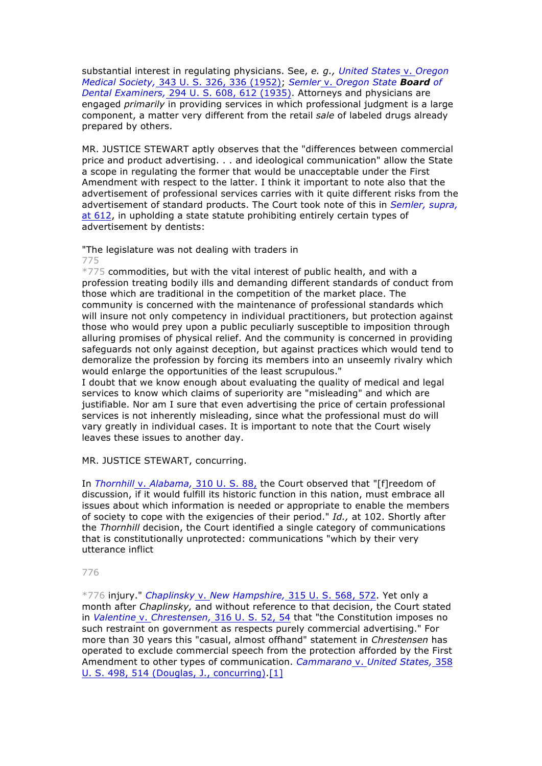substantial interest in regulating physicians. See, *e. g., United States* v. *Oregon Medical Society,* 343 U. S. 326, 336 (1952); *Semler* v. *Oregon State Board of Dental Examiners,* 294 U. S. 608, 612 (1935). Attorneys and physicians are engaged *primarily* in providing services in which professional judgment is a large component, a matter very different from the retail *sale* of labeled drugs already prepared by others.

MR. JUSTICE STEWART aptly observes that the "differences between commercial price and product advertising. . . and ideological communication" allow the State a scope in regulating the former that would be unacceptable under the First Amendment with respect to the latter. I think it important to note also that the advertisement of professional services carries with it quite different risks from the advertisement of standard products. The Court took note of this in *Semler, supra,* at 612, in upholding a state statute prohibiting entirely certain types of advertisement by dentists:

"The legislature was not dealing with traders in 775

\*775 commodities, but with the vital interest of public health, and with a profession treating bodily ills and demanding different standards of conduct from those which are traditional in the competition of the market place. The community is concerned with the maintenance of professional standards which will insure not only competency in individual practitioners, but protection against those who would prey upon a public peculiarly susceptible to imposition through alluring promises of physical relief. And the community is concerned in providing safeguards not only against deception, but against practices which would tend to demoralize the profession by forcing its members into an unseemly rivalry which would enlarge the opportunities of the least scrupulous."

I doubt that we know enough about evaluating the quality of medical and legal services to know which claims of superiority are "misleading" and which are justifiable. Nor am I sure that even advertising the price of certain professional services is not inherently misleading, since what the professional must do will vary greatly in individual cases. It is important to note that the Court wisely leaves these issues to another day.

# MR. JUSTICE STEWART, concurring.

In *Thornhill* v. *Alabama,* 310 U. S. 88, the Court observed that "[f]reedom of discussion, if it would fulfill its historic function in this nation, must embrace all issues about which information is needed or appropriate to enable the members of society to cope with the exigencies of their period." *Id.,* at 102. Shortly after the *Thornhill* decision, the Court identified a single category of communications that is constitutionally unprotected: communications "which by their very utterance inflict

776

\*776 injury." *Chaplinsky* v. *New Hampshire,* 315 U. S. 568, 572. Yet only a month after *Chaplinsky,* and without reference to that decision, the Court stated in *Valentine* v. *Chrestensen,* 316 U. S. 52, 54 that "the Constitution imposes no such restraint on government as respects purely commercial advertising." For more than 30 years this "casual, almost offhand" statement in *Chrestensen* has operated to exclude commercial speech from the protection afforded by the First Amendment to other types of communication. *Cammarano* v. *United States,* 358 U. S. 498, 514 (Douglas, J., concurring).[1]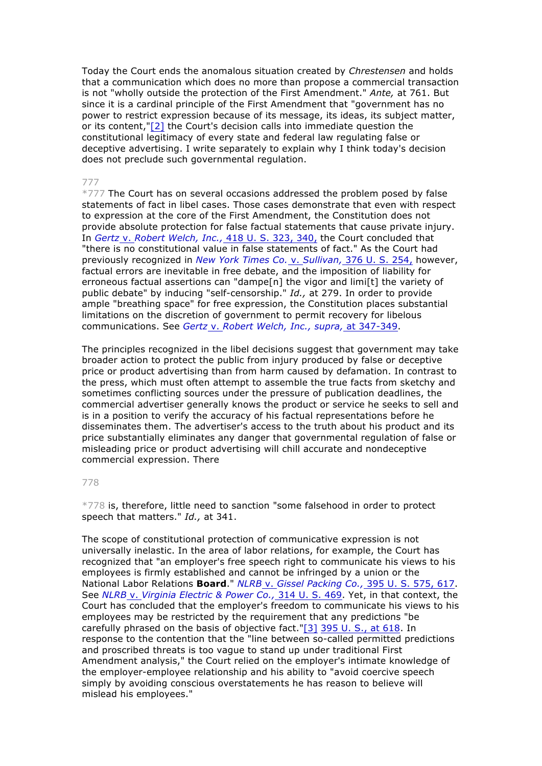Today the Court ends the anomalous situation created by *Chrestensen* and holds that a communication which does no more than propose a commercial transaction is not "wholly outside the protection of the First Amendment." *Ante,* at 761. But since it is a cardinal principle of the First Amendment that "government has no power to restrict expression because of its message, its ideas, its subject matter, or its content,"[2] the Court's decision calls into immediate question the constitutional legitimacy of every state and federal law regulating false or deceptive advertising. I write separately to explain why I think today's decision does not preclude such governmental regulation.

#### 777

\*777 The Court has on several occasions addressed the problem posed by false statements of fact in libel cases. Those cases demonstrate that even with respect to expression at the core of the First Amendment, the Constitution does not provide absolute protection for false factual statements that cause private injury. In *Gertz* v. *Robert Welch, Inc.,* 418 U. S. 323, 340, the Court concluded that "there is no constitutional value in false statements of fact." As the Court had previously recognized in *New York Times Co.* v. *Sullivan,* 376 U. S. 254, however, factual errors are inevitable in free debate, and the imposition of liability for erroneous factual assertions can "dampe[n] the vigor and limi[t] the variety of public debate" by inducing "self-censorship." *Id.,* at 279. In order to provide ample "breathing space" for free expression, the Constitution places substantial limitations on the discretion of government to permit recovery for libelous communications. See *Gertz* v. *Robert Welch, Inc., supra,* at 347-349.

The principles recognized in the libel decisions suggest that government may take broader action to protect the public from injury produced by false or deceptive price or product advertising than from harm caused by defamation. In contrast to the press, which must often attempt to assemble the true facts from sketchy and sometimes conflicting sources under the pressure of publication deadlines, the commercial advertiser generally knows the product or service he seeks to sell and is in a position to verify the accuracy of his factual representations before he disseminates them. The advertiser's access to the truth about his product and its price substantially eliminates any danger that governmental regulation of false or misleading price or product advertising will chill accurate and nondeceptive commercial expression. There

#### 778

\*778 is, therefore, little need to sanction "some falsehood in order to protect speech that matters." *Id.,* at 341.

The scope of constitutional protection of communicative expression is not universally inelastic. In the area of labor relations, for example, the Court has recognized that "an employer's free speech right to communicate his views to his employees is firmly established and cannot be infringed by a union or the National Labor Relations **Board**." *NLRB* v. *Gissel Packing Co.,* 395 U. S. 575, 617. See *NLRB* v. *Virginia Electric & Power Co.,* 314 U. S. 469. Yet, in that context, the Court has concluded that the employer's freedom to communicate his views to his employees may be restricted by the requirement that any predictions "be carefully phrased on the basis of objective fact."[3] 395 U. S., at 618. In response to the contention that the "line between so-called permitted predictions and proscribed threats is too vague to stand up under traditional First Amendment analysis," the Court relied on the employer's intimate knowledge of the employer-employee relationship and his ability to "avoid coercive speech simply by avoiding conscious overstatements he has reason to believe will mislead his employees."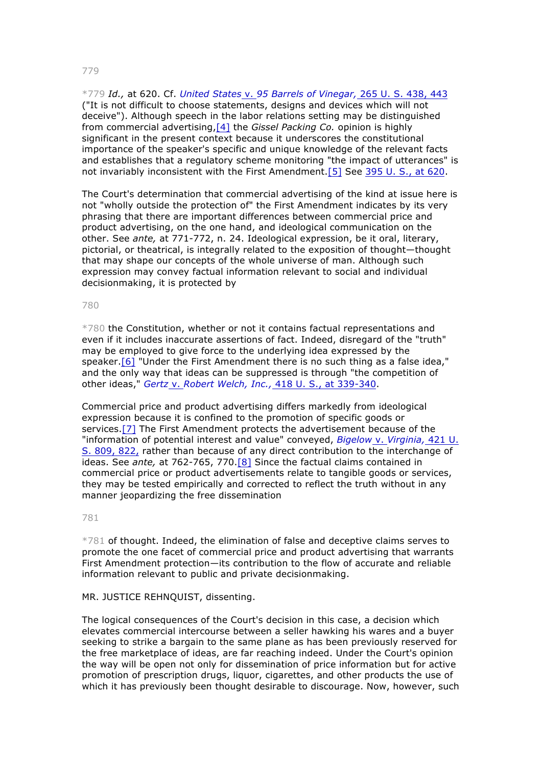## 779

\*779 *Id.,* at 620. Cf. *United States* v. *95 Barrels of Vinegar,* 265 U. S. 438, 443 ("It is not difficult to choose statements, designs and devices which will not deceive"). Although speech in the labor relations setting may be distinguished from commercial advertising,[4] the *Gissel Packing Co.* opinion is highly significant in the present context because it underscores the constitutional importance of the speaker's specific and unique knowledge of the relevant facts and establishes that a regulatory scheme monitoring "the impact of utterances" is not invariably inconsistent with the First Amendment.[5] See 395 U. S., at 620.

The Court's determination that commercial advertising of the kind at issue here is not "wholly outside the protection of" the First Amendment indicates by its very phrasing that there are important differences between commercial price and product advertising, on the one hand, and ideological communication on the other. See *ante,* at 771-772, n. 24. Ideological expression, be it oral, literary, pictorial, or theatrical, is integrally related to the exposition of thought—thought that may shape our concepts of the whole universe of man. Although such expression may convey factual information relevant to social and individual decisionmaking, it is protected by

#### 780

\*780 the Constitution, whether or not it contains factual representations and even if it includes inaccurate assertions of fact. Indeed, disregard of the "truth" may be employed to give force to the underlying idea expressed by the speaker.[6] "Under the First Amendment there is no such thing as a false idea," and the only way that ideas can be suppressed is through "the competition of other ideas," *Gertz* v. *Robert Welch, Inc.,* 418 U. S., at 339-340.

Commercial price and product advertising differs markedly from ideological expression because it is confined to the promotion of specific goods or services.[7] The First Amendment protects the advertisement because of the "information of potential interest and value" conveyed, *Bigelow* v. *Virginia,* 421 U. S. 809, 822, rather than because of any direct contribution to the interchange of ideas. See *ante,* at 762-765, 770.[8] Since the factual claims contained in commercial price or product advertisements relate to tangible goods or services, they may be tested empirically and corrected to reflect the truth without in any manner jeopardizing the free dissemination

## 781

 $*781$  of thought. Indeed, the elimination of false and deceptive claims serves to promote the one facet of commercial price and product advertising that warrants First Amendment protection—its contribution to the flow of accurate and reliable information relevant to public and private decisionmaking.

## MR. JUSTICE REHNQUIST, dissenting.

The logical consequences of the Court's decision in this case, a decision which elevates commercial intercourse between a seller hawking his wares and a buyer seeking to strike a bargain to the same plane as has been previously reserved for the free marketplace of ideas, are far reaching indeed. Under the Court's opinion the way will be open not only for dissemination of price information but for active promotion of prescription drugs, liquor, cigarettes, and other products the use of which it has previously been thought desirable to discourage. Now, however, such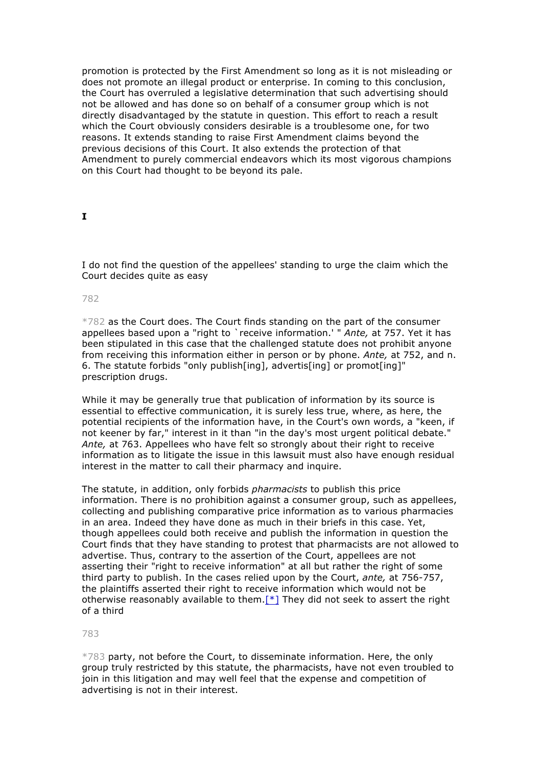promotion is protected by the First Amendment so long as it is not misleading or does not promote an illegal product or enterprise. In coming to this conclusion, the Court has overruled a legislative determination that such advertising should not be allowed and has done so on behalf of a consumer group which is not directly disadvantaged by the statute in question. This effort to reach a result which the Court obviously considers desirable is a troublesome one, for two reasons. It extends standing to raise First Amendment claims beyond the previous decisions of this Court. It also extends the protection of that Amendment to purely commercial endeavors which its most vigorous champions on this Court had thought to be beyond its pale.

# **I**

I do not find the question of the appellees' standing to urge the claim which the Court decides quite as easy

#### 782

 $*782$  as the Court does. The Court finds standing on the part of the consumer appellees based upon a "right to `receive information.' " *Ante,* at 757. Yet it has been stipulated in this case that the challenged statute does not prohibit anyone from receiving this information either in person or by phone. *Ante,* at 752, and n. 6. The statute forbids "only publish[ing], advertis[ing] or promot[ing]" prescription drugs.

While it may be generally true that publication of information by its source is essential to effective communication, it is surely less true, where, as here, the potential recipients of the information have, in the Court's own words, a "keen, if not keener by far," interest in it than "in the day's most urgent political debate." *Ante,* at 763. Appellees who have felt so strongly about their right to receive information as to litigate the issue in this lawsuit must also have enough residual interest in the matter to call their pharmacy and inquire.

The statute, in addition, only forbids *pharmacists* to publish this price information. There is no prohibition against a consumer group, such as appellees, collecting and publishing comparative price information as to various pharmacies in an area. Indeed they have done as much in their briefs in this case. Yet, though appellees could both receive and publish the information in question the Court finds that they have standing to protest that pharmacists are not allowed to advertise. Thus, contrary to the assertion of the Court, appellees are not asserting their "right to receive information" at all but rather the right of some third party to publish. In the cases relied upon by the Court, *ante,* at 756-757, the plaintiffs asserted their right to receive information which would not be otherwise reasonably available to them.[\*] They did not seek to assert the right of a third

#### 783

 $*783$  party, not before the Court, to disseminate information. Here, the only group truly restricted by this statute, the pharmacists, have not even troubled to join in this litigation and may well feel that the expense and competition of advertising is not in their interest.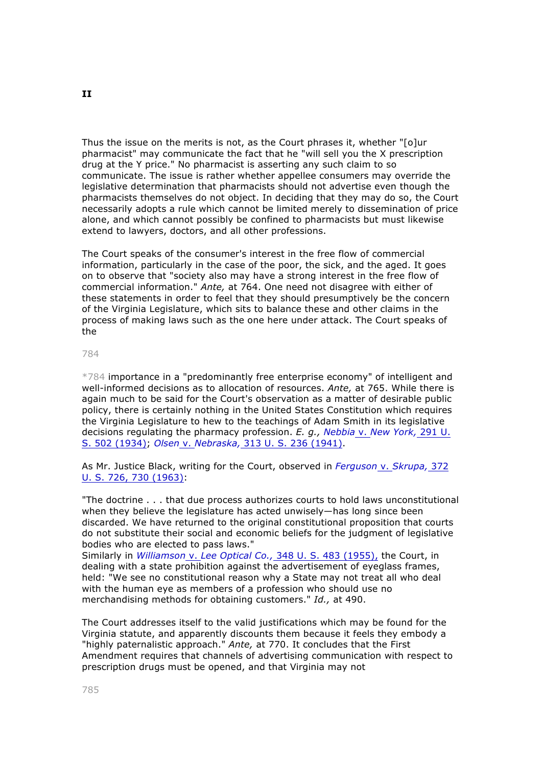Thus the issue on the merits is not, as the Court phrases it, whether "[o]ur pharmacist" may communicate the fact that he "will sell you the X prescription drug at the Y price." No pharmacist is asserting any such claim to so communicate. The issue is rather whether appellee consumers may override the legislative determination that pharmacists should not advertise even though the pharmacists themselves do not object. In deciding that they may do so, the Court necessarily adopts a rule which cannot be limited merely to dissemination of price alone, and which cannot possibly be confined to pharmacists but must likewise extend to lawyers, doctors, and all other professions.

The Court speaks of the consumer's interest in the free flow of commercial information, particularly in the case of the poor, the sick, and the aged. It goes on to observe that "society also may have a strong interest in the free flow of commercial information." *Ante,* at 764. One need not disagree with either of these statements in order to feel that they should presumptively be the concern of the Virginia Legislature, which sits to balance these and other claims in the process of making laws such as the one here under attack. The Court speaks of the

784

 $*784$  importance in a "predominantly free enterprise economy" of intelligent and well-informed decisions as to allocation of resources. *Ante,* at 765. While there is again much to be said for the Court's observation as a matter of desirable public policy, there is certainly nothing in the United States Constitution which requires the Virginia Legislature to hew to the teachings of Adam Smith in its legislative decisions regulating the pharmacy profession. *E. g., Nebbia* v. *New York,* 291 U. S. 502 (1934); *Olsen* v. *Nebraska,* 313 U. S. 236 (1941).

As Mr. Justice Black, writing for the Court, observed in *Ferguson* v. *Skrupa,* 372 U. S. 726, 730 (1963):

"The doctrine . . . that due process authorizes courts to hold laws unconstitutional when they believe the legislature has acted unwisely—has long since been discarded. We have returned to the original constitutional proposition that courts do not substitute their social and economic beliefs for the judgment of legislative bodies who are elected to pass laws."

Similarly in *Williamson* v. *Lee Optical Co.,* 348 U. S. 483 (1955), the Court, in dealing with a state prohibition against the advertisement of eyeglass frames, held: "We see no constitutional reason why a State may not treat all who deal with the human eye as members of a profession who should use no merchandising methods for obtaining customers." *Id.,* at 490.

The Court addresses itself to the valid justifications which may be found for the Virginia statute, and apparently discounts them because it feels they embody a "highly paternalistic approach." *Ante,* at 770. It concludes that the First Amendment requires that channels of advertising communication with respect to prescription drugs must be opened, and that Virginia may not

**II**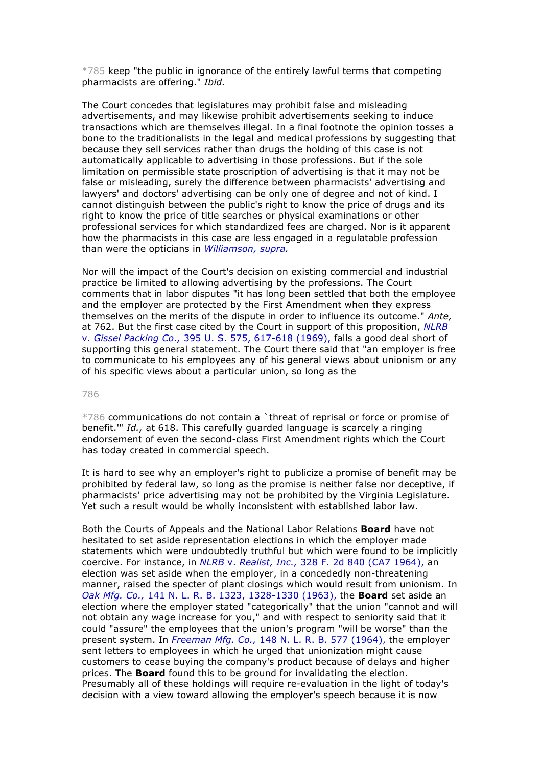$*785$  keep "the public in ignorance of the entirely lawful terms that competing pharmacists are offering." *Ibid.*

The Court concedes that legislatures may prohibit false and misleading advertisements, and may likewise prohibit advertisements seeking to induce transactions which are themselves illegal. In a final footnote the opinion tosses a bone to the traditionalists in the legal and medical professions by suggesting that because they sell services rather than drugs the holding of this case is not automatically applicable to advertising in those professions. But if the sole limitation on permissible state proscription of advertising is that it may not be false or misleading, surely the difference between pharmacists' advertising and lawyers' and doctors' advertising can be only one of degree and not of kind. I cannot distinguish between the public's right to know the price of drugs and its right to know the price of title searches or physical examinations or other professional services for which standardized fees are charged. Nor is it apparent how the pharmacists in this case are less engaged in a regulatable profession than were the opticians in *Williamson, supra.*

Nor will the impact of the Court's decision on existing commercial and industrial practice be limited to allowing advertising by the professions. The Court comments that in labor disputes "it has long been settled that both the employee and the employer are protected by the First Amendment when they express themselves on the merits of the dispute in order to influence its outcome." *Ante,* at 762. But the first case cited by the Court in support of this proposition, *NLRB* v. *Gissel Packing Co.,* 395 U. S. 575, 617-618 (1969), falls a good deal short of supporting this general statement. The Court there said that "an employer is free to communicate to his employees any of his general views about unionism or any of his specific views about a particular union, so long as the

## 786

\*786 communications do not contain a `threat of reprisal or force or promise of benefit.'" *Id.,* at 618. This carefully guarded language is scarcely a ringing endorsement of even the second-class First Amendment rights which the Court has today created in commercial speech.

It is hard to see why an employer's right to publicize a promise of benefit may be prohibited by federal law, so long as the promise is neither false nor deceptive, if pharmacists' price advertising may not be prohibited by the Virginia Legislature. Yet such a result would be wholly inconsistent with established labor law.

Both the Courts of Appeals and the National Labor Relations **Board** have not hesitated to set aside representation elections in which the employer made statements which were undoubtedly truthful but which were found to be implicitly coercive. For instance, in *NLRB* v. *Realist, Inc.,* 328 F. 2d 840 (CA7 1964), an election was set aside when the employer, in a concededly non-threatening manner, raised the specter of plant closings which would result from unionism. In *Oak Mfg. Co.,* 141 N. L. R. B. 1323, 1328-1330 (1963), the **Board** set aside an election where the employer stated "categorically" that the union "cannot and will not obtain any wage increase for you," and with respect to seniority said that it could "assure" the employees that the union's program "will be worse" than the present system. In *Freeman Mfg. Co.,* 148 N. L. R. B. 577 (1964), the employer sent letters to employees in which he urged that unionization might cause customers to cease buying the company's product because of delays and higher prices. The **Board** found this to be ground for invalidating the election. Presumably all of these holdings will require re-evaluation in the light of today's decision with a view toward allowing the employer's speech because it is now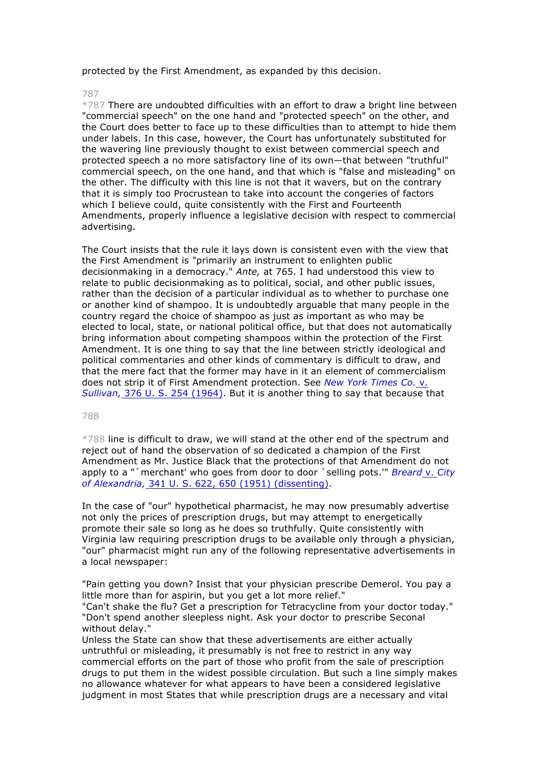protected by the First Amendment, as expanded by this decision.

#### 787

 $*787$  There are undoubted difficulties with an effort to draw a bright line between "commercial speech" on the one hand and "protected speech" on the other, and the Court does better to face up to these difficulties than to attempt to hide them under labels. In this case, however, the Court has unfortunately substituted for the wavering line previously thought to exist between commercial speech and protected speech a no more satisfactory line of its own—that between "truthful" commercial speech, on the one hand, and that which is "false and misleading" on the other. The difficulty with this line is not that it wavers, but on the contrary that it is simply too Procrustean to take into account the congeries of factors which I believe could, quite consistently with the First and Fourteenth Amendments, properly influence a legislative decision with respect to commercial advertising.

The Court insists that the rule it lays down is consistent even with the view that the First Amendment is "primarily an instrument to enlighten public decisionmaking in a democracy." *Ante,* at 765. I had understood this view to relate to public decisionmaking as to political, social, and other public issues, rather than the decision of a particular individual as to whether to purchase one or another kind of shampoo. It is undoubtedly arguable that many people in the country regard the choice of shampoo as just as important as who may be elected to local, state, or national political office, but that does not automatically bring information about competing shampoos within the protection of the First Amendment. It is one thing to say that the line between strictly ideological and political commentaries and other kinds of commentary is difficult to draw, and that the mere fact that the former may have in it an element of commercialism does not strip it of First Amendment protection. See *New York Times Co.* v. *Sullivan,* 376 U. S. 254 (1964). But it is another thing to say that because that

## 788

\*788 line is difficult to draw, we will stand at the other end of the spectrum and reject out of hand the observation of so dedicated a champion of the First Amendment as Mr. Justice Black that the protections of that Amendment do not apply to a "`merchant' who goes from door to door `selling pots.'" *Breard* v. *City of Alexandria,* 341 U. S. 622, 650 (1951) (dissenting).

In the case of "our" hypothetical pharmacist, he may now presumably advertise not only the prices of prescription drugs, but may attempt to energetically promote their sale so long as he does so truthfully. Quite consistently with Virginia law requiring prescription drugs to be available only through a physician, "our" pharmacist might run any of the following representative advertisements in a local newspaper:

"Pain getting you down? Insist that your physician prescribe Demerol. You pay a little more than for aspirin, but you get a lot more relief."

"Can't shake the flu? Get a prescription for Tetracycline from your doctor today." "Don't spend another sleepless night. Ask your doctor to prescribe Seconal without delay."

Unless the State can show that these advertisements are either actually untruthful or misleading, it presumably is not free to restrict in any way commercial efforts on the part of those who profit from the sale of prescription drugs to put them in the widest possible circulation. But such a line simply makes no allowance whatever for what appears to have been a considered legislative judgment in most States that while prescription drugs are a necessary and vital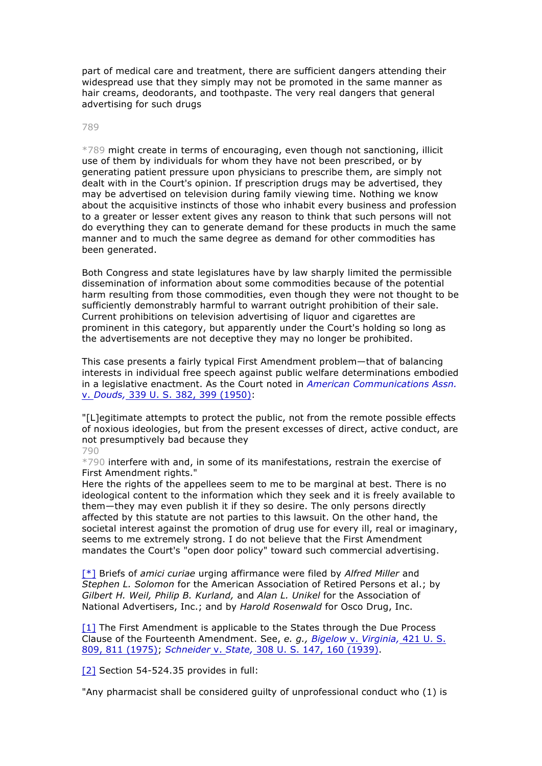part of medical care and treatment, there are sufficient dangers attending their widespread use that they simply may not be promoted in the same manner as hair creams, deodorants, and toothpaste. The very real dangers that general advertising for such drugs

## 789

\*789 might create in terms of encouraging, even though not sanctioning, illicit use of them by individuals for whom they have not been prescribed, or by generating patient pressure upon physicians to prescribe them, are simply not dealt with in the Court's opinion. If prescription drugs may be advertised, they may be advertised on television during family viewing time. Nothing we know about the acquisitive instincts of those who inhabit every business and profession to a greater or lesser extent gives any reason to think that such persons will not do everything they can to generate demand for these products in much the same manner and to much the same degree as demand for other commodities has been generated.

Both Congress and state legislatures have by law sharply limited the permissible dissemination of information about some commodities because of the potential harm resulting from those commodities, even though they were not thought to be sufficiently demonstrably harmful to warrant outright prohibition of their sale. Current prohibitions on television advertising of liquor and cigarettes are prominent in this category, but apparently under the Court's holding so long as the advertisements are not deceptive they may no longer be prohibited.

This case presents a fairly typical First Amendment problem—that of balancing interests in individual free speech against public welfare determinations embodied in a legislative enactment. As the Court noted in *American Communications Assn.* v. *Douds,* 339 U. S. 382, 399 (1950):

"[L]egitimate attempts to protect the public, not from the remote possible effects of noxious ideologies, but from the present excesses of direct, active conduct, are not presumptively bad because they

790

\*790 interfere with and, in some of its manifestations, restrain the exercise of First Amendment rights."

Here the rights of the appellees seem to me to be marginal at best. There is no ideological content to the information which they seek and it is freely available to them—they may even publish it if they so desire. The only persons directly affected by this statute are not parties to this lawsuit. On the other hand, the societal interest against the promotion of drug use for every ill, real or imaginary, seems to me extremely strong. I do not believe that the First Amendment mandates the Court's "open door policy" toward such commercial advertising.

[\*] Briefs of *amici curiae* urging affirmance were filed by *Alfred Miller* and *Stephen L. Solomon* for the American Association of Retired Persons et al.; by *Gilbert H. Weil, Philip B. Kurland,* and *Alan L. Unikel* for the Association of National Advertisers, Inc.; and by *Harold Rosenwald* for Osco Drug, Inc.

[1] The First Amendment is applicable to the States through the Due Process Clause of the Fourteenth Amendment. See, *e. g., Bigelow* v. *Virginia,* 421 U. S. 809, 811 (1975); *Schneider* v. *State,* 308 U. S. 147, 160 (1939).

[2] Section 54-524.35 provides in full:

"Any pharmacist shall be considered guilty of unprofessional conduct who (1) is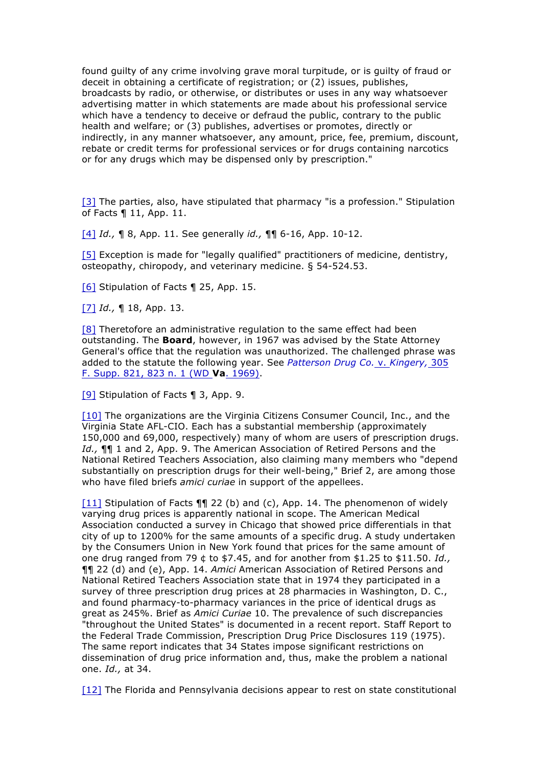found guilty of any crime involving grave moral turpitude, or is guilty of fraud or deceit in obtaining a certificate of registration; or (2) issues, publishes, broadcasts by radio, or otherwise, or distributes or uses in any way whatsoever advertising matter in which statements are made about his professional service which have a tendency to deceive or defraud the public, contrary to the public health and welfare; or (3) publishes, advertises or promotes, directly or indirectly, in any manner whatsoever, any amount, price, fee, premium, discount, rebate or credit terms for professional services or for drugs containing narcotics or for any drugs which may be dispensed only by prescription."

[3] The parties, also, have stipulated that pharmacy "is a profession." Stipulation of Facts ¶ 11, App. 11.

[4] *Id.,* ¶ 8, App. 11. See generally *id.,* ¶¶ 6-16, App. 10-12.

[5] Exception is made for "legally qualified" practitioners of medicine, dentistry, osteopathy, chiropody, and veterinary medicine. § 54-524.53.

[6] Stipulation of Facts ¶ 25, App. 15.

[7] *Id.,* ¶ 18, App. 13.

[8] Theretofore an administrative regulation to the same effect had been outstanding. The **Board**, however, in 1967 was advised by the State Attorney General's office that the regulation was unauthorized. The challenged phrase was added to the statute the following year. See *Patterson Drug Co.* v. *Kingery,* 305 F. Supp. 821, 823 n. 1 (WD **Va**. 1969).

[9] Stipulation of Facts 1 3, App. 9.

[10] The organizations are the Virginia Citizens Consumer Council, Inc., and the Virginia State AFL-CIO. Each has a substantial membership (approximately 150,000 and 69,000, respectively) many of whom are users of prescription drugs. *Id.,* ¶¶ 1 and 2, App. 9. The American Association of Retired Persons and the National Retired Teachers Association, also claiming many members who "depend substantially on prescription drugs for their well-being," Brief 2, are among those who have filed briefs *amici curiae* in support of the appellees.

[11] Stipulation of Facts ¶¶ 22 (b) and (c), App. 14. The phenomenon of widely varying drug prices is apparently national in scope. The American Medical Association conducted a survey in Chicago that showed price differentials in that city of up to 1200% for the same amounts of a specific drug. A study undertaken by the Consumers Union in New York found that prices for the same amount of one drug ranged from 79 ¢ to \$7.45, and for another from \$1.25 to \$11.50. *Id.,* ¶¶ 22 (d) and (e), App. 14. *Amici* American Association of Retired Persons and National Retired Teachers Association state that in 1974 they participated in a survey of three prescription drug prices at 28 pharmacies in Washington, D. C., and found pharmacy-to-pharmacy variances in the price of identical drugs as great as 245%. Brief as *Amici Curiae* 10. The prevalence of such discrepancies "throughout the United States" is documented in a recent report. Staff Report to the Federal Trade Commission, Prescription Drug Price Disclosures 119 (1975). The same report indicates that 34 States impose significant restrictions on dissemination of drug price information and, thus, make the problem a national one. *Id.,* at 34.

[12] The Florida and Pennsylvania decisions appear to rest on state constitutional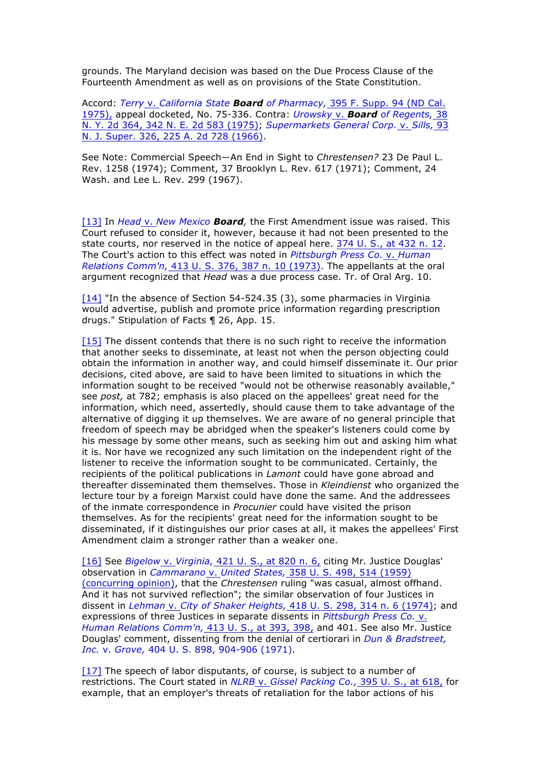grounds. The Maryland decision was based on the Due Process Clause of the Fourteenth Amendment as well as on provisions of the State Constitution.

Accord: *Terry* v. *California State Board of Pharmacy,* 395 F. Supp. 94 (ND Cal. 1975), appeal docketed, No. 75-336. Contra: *Urowsky* v. *Board of Regents,* 38 N. Y. 2d 364, 342 N. E. 2d 583 (1975); *Supermarkets General Corp.* v. *Sills,* 93 N. J. Super. 326, 225 A. 2d 728 (1966).

See Note: Commercial Speech—An End in Sight to *Chrestensen?* 23 De Paul L. Rev. 1258 (1974); Comment, 37 Brooklyn L. Rev. 617 (1971); Comment, 24 Wash. and Lee L. Rev. 299 (1967).

[13] In *Head* v. *New Mexico Board,* the First Amendment issue was raised. This Court refused to consider it, however, because it had not been presented to the state courts, nor reserved in the notice of appeal here. 374 U. S., at 432 n. 12. The Court's action to this effect was noted in *Pittsburgh Press Co.* v. *Human Relations Comm'n,* 413 U. S. 376, 387 n. 10 (1973). The appellants at the oral argument recognized that *Head* was a due process case. Tr. of Oral Arg. 10.

[14] "In the absence of Section 54-524.35 (3), some pharmacies in Virginia would advertise, publish and promote price information regarding prescription drugs." Stipulation of Facts ¶ 26, App. 15.

[15] The dissent contends that there is no such right to receive the information that another seeks to disseminate, at least not when the person objecting could obtain the information in another way, and could himself disseminate it. Our prior decisions, cited above, are said to have been limited to situations in which the information sought to be received "would not be otherwise reasonably available," see *post,* at 782; emphasis is also placed on the appellees' great need for the information, which need, assertedly, should cause them to take advantage of the alternative of digging it up themselves. We are aware of no general principle that freedom of speech may be abridged when the speaker's listeners could come by his message by some other means, such as seeking him out and asking him what it is. Nor have we recognized any such limitation on the independent right of the listener to receive the information sought to be communicated. Certainly, the recipients of the political publications in *Lamont* could have gone abroad and thereafter disseminated them themselves. Those in *Kleindienst* who organized the lecture tour by a foreign Marxist could have done the same. And the addressees of the inmate correspondence in *Procunier* could have visited the prison themselves. As for the recipients' great need for the information sought to be disseminated, if it distinguishes our prior cases at all, it makes the appellees' First Amendment claim a stronger rather than a weaker one.

[16] See *Bigelow* v. *Virginia,* 421 U. S., at 820 n. 6, citing Mr. Justice Douglas' observation in *Cammarano* v. *United States,* 358 U. S. 498, 514 (1959) (concurring opinion), that the *Chrestensen* ruling "was casual, almost offhand. And it has not survived reflection"; the similar observation of four Justices in dissent in *Lehman* v. *City of Shaker Heights,* 418 U. S. 298, 314 n. 6 (1974); and expressions of three Justices in separate dissents in *Pittsburgh Press Co.* v. *Human Relations Comm'n,* 413 U. S., at 393, 398, and 401. See also Mr. Justice Douglas' comment, dissenting from the denial of certiorari in *Dun & Bradstreet, Inc.* v. *Grove,* 404 U. S. 898, 904-906 (1971).

[17] The speech of labor disputants, of course, is subject to a number of restrictions. The Court stated in *NLRB* v. *Gissel Packing Co.,* 395 U. S., at 618, for example, that an employer's threats of retaliation for the labor actions of his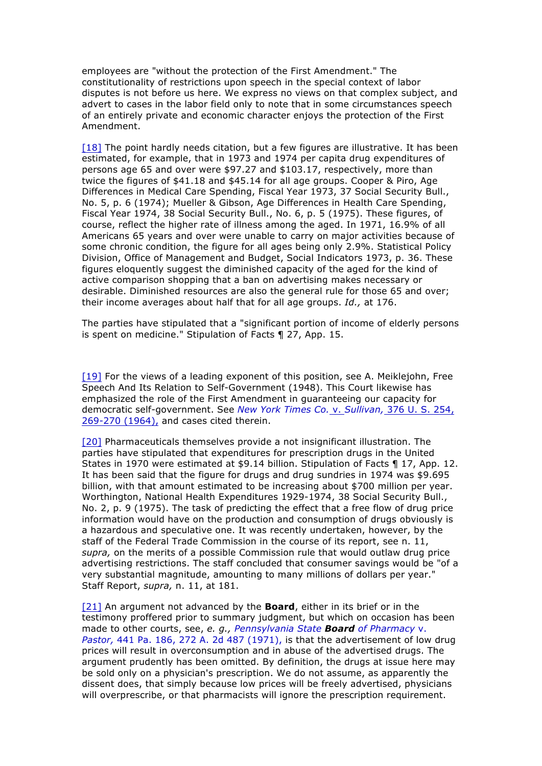employees are "without the protection of the First Amendment." The constitutionality of restrictions upon speech in the special context of labor disputes is not before us here. We express no views on that complex subject, and advert to cases in the labor field only to note that in some circumstances speech of an entirely private and economic character enjoys the protection of the First Amendment.

[18] The point hardly needs citation, but a few figures are illustrative. It has been estimated, for example, that in 1973 and 1974 per capita drug expenditures of persons age 65 and over were \$97.27 and \$103.17, respectively, more than twice the figures of \$41.18 and \$45.14 for all age groups. Cooper & Piro, Age Differences in Medical Care Spending, Fiscal Year 1973, 37 Social Security Bull., No. 5, p. 6 (1974); Mueller & Gibson, Age Differences in Health Care Spending, Fiscal Year 1974, 38 Social Security Bull., No. 6, p. 5 (1975). These figures, of course, reflect the higher rate of illness among the aged. In 1971, 16.9% of all Americans 65 years and over were unable to carry on major activities because of some chronic condition, the figure for all ages being only 2.9%. Statistical Policy Division, Office of Management and Budget, Social Indicators 1973, p. 36. These figures eloquently suggest the diminished capacity of the aged for the kind of active comparison shopping that a ban on advertising makes necessary or desirable. Diminished resources are also the general rule for those 65 and over; their income averages about half that for all age groups. *Id.,* at 176.

The parties have stipulated that a "significant portion of income of elderly persons is spent on medicine." Stipulation of Facts ¶ 27, App. 15.

[19] For the views of a leading exponent of this position, see A. Meiklejohn, Free Speech And Its Relation to Self-Government (1948). This Court likewise has emphasized the role of the First Amendment in guaranteeing our capacity for democratic self-government. See *New York Times Co.* v. *Sullivan,* 376 U. S. 254, 269-270 (1964), and cases cited therein.

[20] Pharmaceuticals themselves provide a not insignificant illustration. The parties have stipulated that expenditures for prescription drugs in the United States in 1970 were estimated at \$9.14 billion. Stipulation of Facts ¶ 17, App. 12. It has been said that the figure for drugs and drug sundries in 1974 was \$9.695 billion, with that amount estimated to be increasing about \$700 million per year. Worthington, National Health Expenditures 1929-1974, 38 Social Security Bull., No. 2, p. 9 (1975). The task of predicting the effect that a free flow of drug price information would have on the production and consumption of drugs obviously is a hazardous and speculative one. It was recently undertaken, however, by the staff of the Federal Trade Commission in the course of its report, see n. 11, *supra,* on the merits of a possible Commission rule that would outlaw drug price advertising restrictions. The staff concluded that consumer savings would be "of a very substantial magnitude, amounting to many millions of dollars per year." Staff Report, *supra,* n. 11, at 181.

[21] An argument not advanced by the **Board**, either in its brief or in the testimony proffered prior to summary judgment, but which on occasion has been made to other courts, see, *e. g., Pennsylvania State Board of Pharmacy* v. *Pastor,* 441 Pa. 186, 272 A. 2d 487 (1971), is that the advertisement of low drug prices will result in overconsumption and in abuse of the advertised drugs. The argument prudently has been omitted. By definition, the drugs at issue here may be sold only on a physician's prescription. We do not assume, as apparently the dissent does, that simply because low prices will be freely advertised, physicians will overprescribe, or that pharmacists will ignore the prescription requirement.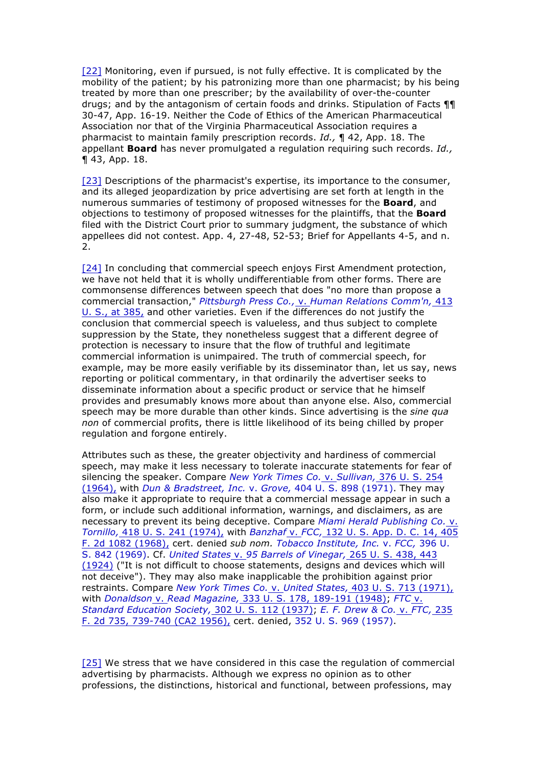[22] Monitoring, even if pursued, is not fully effective. It is complicated by the mobility of the patient; by his patronizing more than one pharmacist; by his being treated by more than one prescriber; by the availability of over-the-counter drugs; and by the antagonism of certain foods and drinks. Stipulation of Facts ¶¶ 30-47, App. 16-19. Neither the Code of Ethics of the American Pharmaceutical Association nor that of the Virginia Pharmaceutical Association requires a pharmacist to maintain family prescription records. *Id.,* ¶ 42, App. 18. The appellant **Board** has never promulgated a regulation requiring such records. *Id.,* ¶ 43, App. 18.

[23] Descriptions of the pharmacist's expertise, its importance to the consumer, and its alleged jeopardization by price advertising are set forth at length in the numerous summaries of testimony of proposed witnesses for the **Board**, and objections to testimony of proposed witnesses for the plaintiffs, that the **Board** filed with the District Court prior to summary judgment, the substance of which appellees did not contest. App. 4, 27-48, 52-53; Brief for Appellants 4-5, and n. 2.

[24] In concluding that commercial speech enjoys First Amendment protection, we have not held that it is wholly undifferentiable from other forms. There are commonsense differences between speech that does "no more than propose a commercial transaction," *Pittsburgh Press Co.,* v. *Human Relations Comm'n,* 413 U. S., at 385, and other varieties. Even if the differences do not justify the conclusion that commercial speech is valueless, and thus subject to complete suppression by the State, they nonetheless suggest that a different degree of protection is necessary to insure that the flow of truthful and legitimate commercial information is unimpaired. The truth of commercial speech, for example, may be more easily verifiable by its disseminator than, let us say, news reporting or political commentary, in that ordinarily the advertiser seeks to disseminate information about a specific product or service that he himself provides and presumably knows more about than anyone else. Also, commercial speech may be more durable than other kinds. Since advertising is the *sine qua non* of commercial profits, there is little likelihood of its being chilled by proper regulation and forgone entirely.

Attributes such as these, the greater objectivity and hardiness of commercial speech, may make it less necessary to tolerate inaccurate statements for fear of silencing the speaker. Compare *New York Times Co.* v. *Sullivan,* 376 U. S. 254 (1964), with *Dun & Bradstreet, Inc.* v. *Grove,* 404 U. S. 898 (1971). They may also make it appropriate to require that a commercial message appear in such a form, or include such additional information, warnings, and disclaimers, as are necessary to prevent its being deceptive. Compare *Miami Herald Publishing Co.* v. *Tornillo,* 418 U. S. 241 (1974), with *Banzhaf* v. *FCC,* 132 U. S. App. D. C. 14, 405 F. 2d 1082 (1968), cert. denied *sub nom. Tobacco Institute, Inc.* v. *FCC,* 396 U. S. 842 (1969). Cf. *United States* v. *95 Barrels of Vinegar,* 265 U. S. 438, 443 (1924) ("It is not difficult to choose statements, designs and devices which will not deceive"). They may also make inapplicable the prohibition against prior restraints. Compare *New York Times Co.* v. *United States,* 403 U. S. 713 (1971), with *Donaldson* v. *Read Magazine,* 333 U. S. 178, 189-191 (1948); *FTC* v. *Standard Education Society,* 302 U. S. 112 (1937); *E. F. Drew & Co.* v. *FTC,* 235 F. 2d 735, 739-740 (CA2 1956), cert. denied, 352 U. S. 969 (1957).

[25] We stress that we have considered in this case the regulation of commercial advertising by pharmacists. Although we express no opinion as to other professions, the distinctions, historical and functional, between professions, may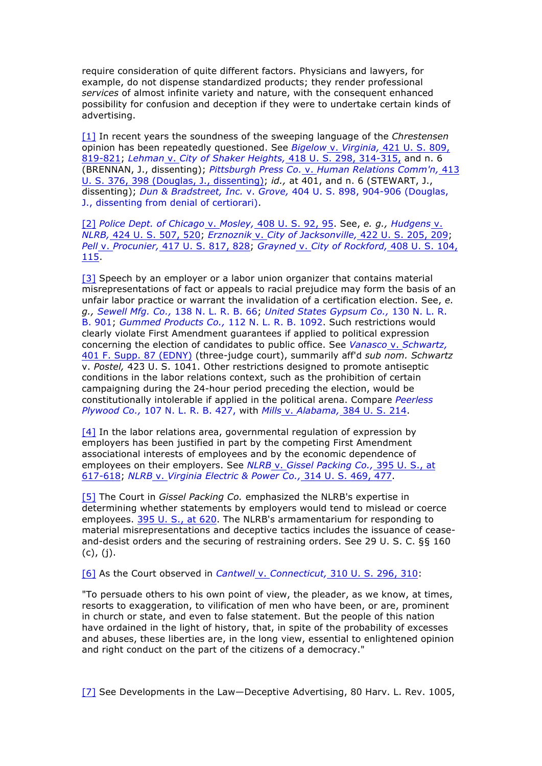require consideration of quite different factors. Physicians and lawyers, for example, do not dispense standardized products; they render professional *services* of almost infinite variety and nature, with the consequent enhanced possibility for confusion and deception if they were to undertake certain kinds of advertising.

[1] In recent years the soundness of the sweeping language of the *Chrestensen* opinion has been repeatedly questioned. See *Bigelow* v. *Virginia,* 421 U. S. 809, 819-821; *Lehman* v. *City of Shaker Heights,* 418 U. S. 298, 314-315, and n. 6 (BRENNAN, J., dissenting); *Pittsburgh Press Co.* v. *Human Relations Comm'n,* 413 U. S. 376, 398 (Douglas, J., dissenting); *id.,* at 401, and n. 6 (STEWART, J., dissenting); *Dun & Bradstreet, Inc.* v. *Grove,* 404 U. S. 898, 904-906 (Douglas, J., dissenting from denial of certiorari).

[2] *Police Dept. of Chicago* v. *Mosley,* 408 U. S. 92, 95. See, *e. g., Hudgens* v. *NLRB,* 424 U. S. 507, 520; *Erznoznik* v. *City of Jacksonville,* 422 U. S. 205, 209; *Pell* v. *Procunier,* 417 U. S. 817, 828; *Grayned* v. *City of Rockford,* 408 U. S. 104, 115.

[3] Speech by an employer or a labor union organizer that contains material misrepresentations of fact or appeals to racial prejudice may form the basis of an unfair labor practice or warrant the invalidation of a certification election. See, *e. g., Sewell Mfg. Co.,* 138 N. L. R. B. 66; *United States Gypsum Co.,* 130 N. L. R. B. 901; *Gummed Products Co.,* 112 N. L. R. B. 1092. Such restrictions would clearly violate First Amendment guarantees if applied to political expression concerning the election of candidates to public office. See *Vanasco* v. *Schwartz,* 401 F. Supp. 87 (EDNY) (three-judge court), summarily aff'd *sub nom. Schwartz* v. *Postel,* 423 U. S. 1041. Other restrictions designed to promote antiseptic conditions in the labor relations context, such as the prohibition of certain campaigning during the 24-hour period preceding the election, would be constitutionally intolerable if applied in the political arena. Compare *Peerless Plywood Co.,* 107 N. L. R. B. 427, with *Mills* v. *Alabama,* 384 U. S. 214.

[4] In the labor relations area, governmental requlation of expression bv employers has been justified in part by the competing First Amendment associational interests of employees and by the economic dependence of employees on their employers. See *NLRB* v. *Gissel Packing Co.,* 395 U. S., at 617-618; *NLRB* v. *Virginia Electric & Power Co.,* 314 U. S. 469, 477.

[5] The Court in *Gissel Packing Co.* emphasized the NLRB's expertise in determining whether statements by employers would tend to mislead or coerce employees. 395 U. S., at 620. The NLRB's armamentarium for responding to material misrepresentations and deceptive tactics includes the issuance of ceaseand-desist orders and the securing of restraining orders. See 29 U. S. C. §§ 160  $(c)$ ,  $(i)$ .

[6] As the Court observed in *Cantwell* v. *Connecticut,* 310 U. S. 296, 310:

"To persuade others to his own point of view, the pleader, as we know, at times, resorts to exaggeration, to vilification of men who have been, or are, prominent in church or state, and even to false statement. But the people of this nation have ordained in the light of history, that, in spite of the probability of excesses and abuses, these liberties are, in the long view, essential to enlightened opinion and right conduct on the part of the citizens of a democracy."

[7] See Developments in the Law—Deceptive Advertising, 80 Harv. L. Rev. 1005,